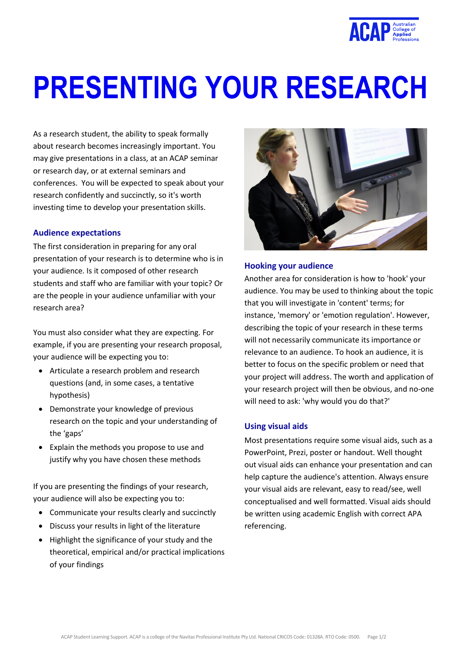

# **PRESENTING YOUR RESEARCH**

As a research student, the ability to speak formally about research becomes increasingly important. You may give presentations in a class, at an ACAP seminar or research day, or at external seminars and conferences. You will be expected to speak about your research confidently and succinctly, so it's worth investing time to develop your presentation skills.

#### **Audience expectations**

The first consideration in preparing for any oral presentation of your research is to determine who is in your audience. Is it composed of other research students and staff who are familiar with your topic? Or are the people in your audience unfamiliar with your research area?

You must also consider what they are expecting. For example, if you are presenting your research proposal, your audience will be expecting you to:

- Articulate a research problem and research questions (and, in some cases, a tentative hypothesis)
- Demonstrate your knowledge of previous research on the topic and your understanding of the 'gaps'
- Explain the methods you propose to use and justify why you have chosen these methods

If you are presenting the findings of your research, your audience will also be expecting you to:

- Communicate your results clearly and succinctly
- Discuss your results in light of the literature
- Highlight the significance of your study and the theoretical, empirical and/or practical implications of your findings



#### **Hooking your audience**

Another area for consideration is how to 'hook' your audience. You may be used to thinking about the topic that you will investigate in 'content' terms; for instance, 'memory' or 'emotion regulation'. However, describing the topic of your research in these terms will not necessarily communicate its importance or relevance to an audience. To hook an audience, it is better to focus on the specific problem or need that your project will address. The worth and application of your research project will then be obvious, and no-one will need to ask: 'why would you do that?'

#### **Using visual aids**

Most presentations require some visual aids, such as a PowerPoint, Prezi, poster or handout. Well thought out visual aids can enhance your presentation and can help capture the audience's attention. Always ensure your visual aids are relevant, easy to read/see, well conceptualised and well formatted. Visual aids should be written using academic English with correct APA referencing.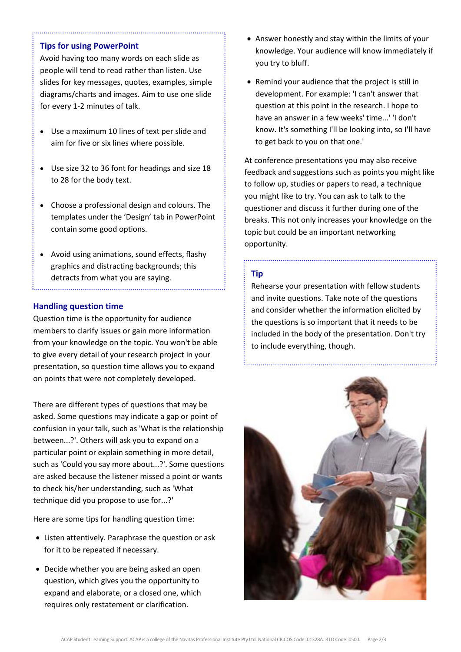# **Tips for using PowerPoint**

Avoid having too many words on each slide as people will tend to read rather than listen. Use slides for key messages, quotes, examples, simple diagrams/charts and images. Aim to use one slide for every 1-2 minutes of talk.

- Use a maximum 10 lines of text per slide and aim for five or six lines where possible.
- Use size 32 to 36 font for headings and size 18 to 28 for the body text.
- Choose a professional design and colours. The templates under the 'Design' tab in PowerPoint contain some good options.
- Avoid using animations, sound effects, flashy graphics and distracting backgrounds; this detracts from what you are saying.

# **Handling question time**

Question time is the opportunity for audience members to clarify issues or gain more information from your knowledge on the topic. You won't be able to give every detail of your research project in your presentation, so question time allows you to expand on points that were not completely developed.

There are different types of questions that may be asked. Some questions may indicate a gap or point of confusion in your talk, such as 'What is the relationship between...?'. Others will ask you to expand on a particular point or explain something in more detail, such as 'Could you say more about...?'. Some questions are asked because the listener missed a point or wants to check his/her understanding, such as 'What technique did you propose to use for...?'

Here are some tips for handling question time:

- Listen attentively. Paraphrase the question or ask for it to be repeated if necessary.
- Decide whether you are being asked an open question, which gives you the opportunity to expand and elaborate, or a closed one, which requires only restatement or clarification.
- Answer honestly and stay within the limits of your knowledge. Your audience will know immediately if you try to bluff.
- Remind your audience that the project is still in development. For example: 'I can't answer that question at this point in the research. I hope to have an answer in a few weeks' time...' 'I don't know. It's something I'll be looking into, so I'll have to get back to you on that one.'

At conference presentations you may also receive feedback and suggestions such as points you might like to follow up, studies or papers to read, a technique you might like to try. You can ask to talk to the questioner and discuss it further during one of the breaks. This not only increases your knowledge on the topic but could be an important networking opportunity.

# **Tip**

Rehearse your presentation with fellow students and invite questions. Take note of the questions and consider whether the information elicited by the questions is so important that it needs to be included in the body of the presentation. Don't try to include everything, though.